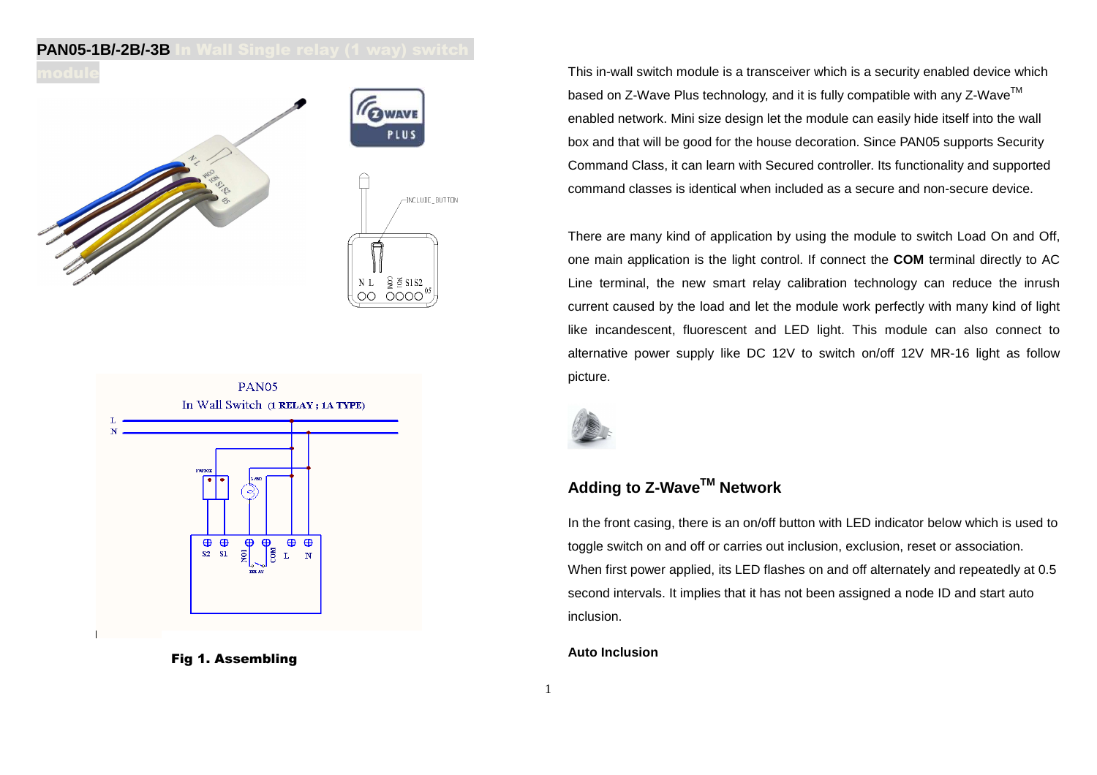## **PAN05-1B/-2B/-3B** In Wall Single relay (1 way) switch





Fig 1. Assembling

This in-wall switch module is a transceiver which is a security enabled device which based on Z-Wave Plus technology, and it is fully compatible with any Z-Wave<sup>TM</sup> enabled network. Mini size design let the module can easily hide itself into the wall box and that will be good for the house decoration. Since PAN05 supports Security Command Class, it can learn with Secured controller. Its functionality and supported command classes is identical when included as a secure and non-secure device.

There are many kind of application by using the module to switch Load On and Off, one main application is the light control. If connect the **COM** terminal directly to AC Line terminal, the new smart relay calibration technology can reduce the inrush current caused by the load and let the module work perfectly with many kind of light like incandescent, fluorescent and LED light. This module can also connect to alternative power supply like DC 12V to switch on/off 12V MR-16 light as follow picture.



# **Adding to Z-WaveTM Network**

In the front casing, there is an on/off button with LED indicator below which is used to toggle switch on and off or carries out inclusion, exclusion, reset or association. When first power applied, its LED flashes on and off alternately and repeatedly at 0.5 second intervals. It implies that it has not been assigned a node ID and start auto inclusion.

#### **Auto Inclusion**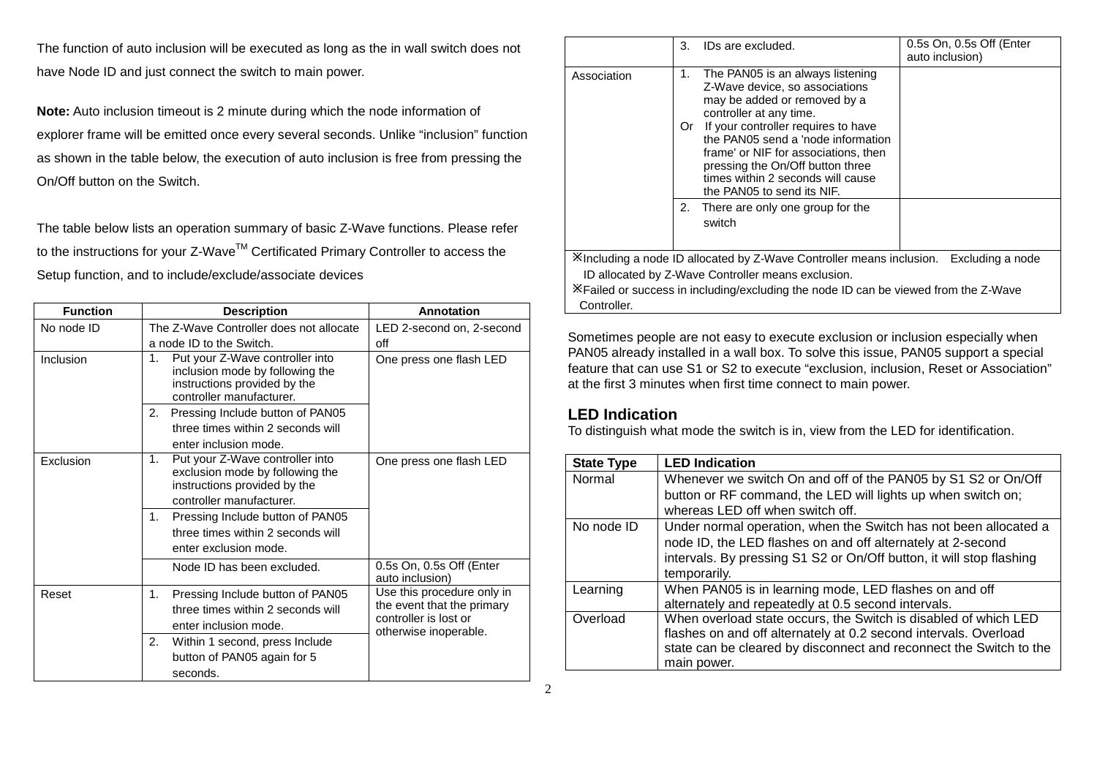The function of auto inclusion will be executed as long as the in wall switch does not have Node ID and just connect the switch to main power.

**Note:** Auto inclusion timeout is 2 minute during which the node information of explorer frame will be emitted once every several seconds. Unlike "inclusion" function as shown in the table below, the execution of auto inclusion is free from pressing the On/Off button on the Switch.

The table below lists an operation summary of basic Z-Wave functions. Please refer to the instructions for your Z-Wave™ Certificated Primary Controller to access the Setup function, and to include/exclude/associate devices

| <b>Function</b> | <b>Description</b>                                                                                                                   | Annotation                                                                                                 |
|-----------------|--------------------------------------------------------------------------------------------------------------------------------------|------------------------------------------------------------------------------------------------------------|
| No node ID      | The Z-Wave Controller does not allocate                                                                                              | LED 2-second on, 2-second                                                                                  |
|                 | a node ID to the Switch.                                                                                                             | off                                                                                                        |
| Inclusion       | 1.<br>Put your Z-Wave controller into<br>inclusion mode by following the<br>instructions provided by the<br>controller manufacturer. | One press one flash LED                                                                                    |
|                 | 2.<br>Pressing Include button of PAN05<br>three times within 2 seconds will<br>enter inclusion mode.                                 |                                                                                                            |
| Exclusion       | 1.<br>Put your Z-Wave controller into<br>exclusion mode by following the<br>instructions provided by the<br>controller manufacturer. | One press one flash LED                                                                                    |
|                 | 1.<br>Pressing Include button of PAN05<br>three times within 2 seconds will<br>enter exclusion mode.                                 |                                                                                                            |
|                 | Node ID has been excluded.                                                                                                           | 0.5s On, 0.5s Off (Enter<br>auto inclusion)                                                                |
| Reset           | Pressing Include button of PAN05<br>1.<br>three times within 2 seconds will<br>enter inclusion mode.                                 | Use this procedure only in<br>the event that the primary<br>controller is lost or<br>otherwise inoperable. |
|                 | 2.<br>Within 1 second, press Include<br>button of PAN05 again for 5<br>seconds.                                                      |                                                                                                            |

|             | 3.       | IDs are excluded.                                                                                                                                                                                                                                                                                                                                                                                | 0.5s On, 0.5s Off (Enter<br>auto inclusion) |
|-------------|----------|--------------------------------------------------------------------------------------------------------------------------------------------------------------------------------------------------------------------------------------------------------------------------------------------------------------------------------------------------------------------------------------------------|---------------------------------------------|
| Association | 1.<br>Or | The PAN05 is an always listening<br>Z-Wave device, so associations<br>may be added or removed by a<br>controller at any time.<br>If your controller requires to have<br>the PAN05 send a 'node information<br>frame' or NIF for associations, then<br>pressing the On/Off button three<br>times within 2 seconds will cause<br>the PAN05 to send its NIF.<br>2. There are only one group for the |                                             |
|             |          | switch                                                                                                                                                                                                                                                                                                                                                                                           |                                             |
|             |          | Xincluding a node ID allocated by Z-Wave Controller means inclusion. Excluding a node                                                                                                                                                                                                                                                                                                            |                                             |
|             |          | ID allocated by Z-Wave Controller means exclusion.                                                                                                                                                                                                                                                                                                                                               |                                             |
| Controller. |          | X Failed or success in including/excluding the node ID can be viewed from the Z-Wave                                                                                                                                                                                                                                                                                                             |                                             |

Sometimes people are not easy to execute exclusion or inclusion especially when PAN05 already installed in a wall box. To solve this issue, PAN05 support a special feature that can use S1 or S2 to execute "exclusion, inclusion, Reset or Association" at the first 3 minutes when first time connect to main power.

## **LED Indication**

To distinguish what mode the switch is in, view from the LED for identification.

| <b>State Type</b> | <b>LED Indication</b>                                                |
|-------------------|----------------------------------------------------------------------|
| Normal            | Whenever we switch On and off of the PAN05 by S1 S2 or On/Off        |
|                   | button or RF command, the LED will lights up when switch on;         |
|                   | whereas LED off when switch off.                                     |
| No node ID        | Under normal operation, when the Switch has not been allocated a     |
|                   | node ID, the LED flashes on and off alternately at 2-second          |
|                   | intervals. By pressing S1 S2 or On/Off button, it will stop flashing |
|                   | temporarily.                                                         |
| Learning          | When PAN05 is in learning mode, LED flashes on and off               |
|                   | alternately and repeatedly at 0.5 second intervals.                  |
| Overload          | When overload state occurs, the Switch is disabled of which LED      |
|                   | flashes on and off alternately at 0.2 second intervals. Overload     |
|                   | state can be cleared by disconnect and reconnect the Switch to the   |
|                   | main power.                                                          |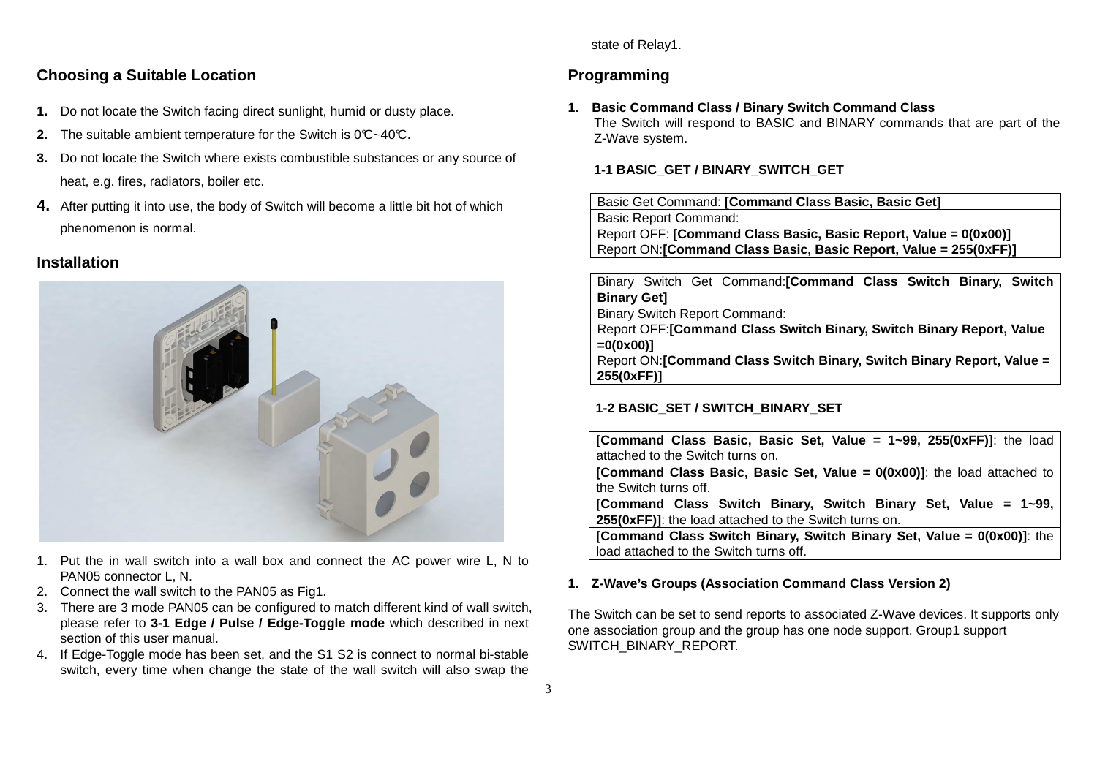state of Relay1.

## **Choosing a Suitable Location**

- **1.** Do not locate the Switch facing direct sunlight, humid or dusty place.
- **2.** The suitable ambient temperature for the Switch is 0°C~40°C.
- **3.** Do not locate the Switch where exists combustible substances or any source of heat, e.g. fires, radiators, boiler etc.
- **4.** After putting it into use, the body of Switch will become a little bit hot of which phenomenon is normal.

### **Installation**



- 1. Put the in wall switch into a wall box and connect the AC power wire L, N to PAN05 connector L, N.
- 2. Connect the wall switch to the PAN05 as Fig1.
- 3. There are 3 mode PAN05 can be configured to match different kind of wall switch, please refer to **3-1 Edge / Pulse / Edge-Toggle mode** which described in next section of this user manual.
- 4. If Edge-Toggle mode has been set, and the S1 S2 is connect to normal bi-stable switch, every time when change the state of the wall switch will also swap the

## **Programming**

### **1. Basic Command Class / Binary Switch Command Class**

 The Switch will respond to BASIC and BINARY commands that are part of the Z-Wave system.

### **1-1 BASIC\_GET / BINARY\_SWITCH\_GET**

Basic Get Command: **[Command Class Basic, Basic Get]**Basic Report Command: Report OFF: **[Command Class Basic, Basic Report, Value = 0(0x00)]**Report ON:**[Command Class Basic, Basic Report, Value = 255(0xFF)]**

Binary Switch Get Command:**[Command Class Switch Binary, Switch Binary Get]** Binary Switch Report Command: Report OFF:**[Command Class Switch Binary, Switch Binary Report, Value =0(0x00)]** Report ON:**[Command Class Switch Binary, Switch Binary Report, Value = 255(0xFF)]**

### **1-2 BASIC\_SET / SWITCH\_BINARY\_SET**

**[Command Class Basic, Basic Set, Value = 1~99, 255(0xFF)]**: the load attached to the Switch turns on. **[Command Class Basic, Basic Set, Value = 0(0x00)]**: the load attached to the Switch turns off. **[Command Class Switch Binary, Switch Binary Set, Value = 1~99, 255(0xFF)]**: the load attached to the Switch turns on. **[Command Class Switch Binary, Switch Binary Set, Value = 0(0x00)]**: the load attached to the Switch turns off.

### **1. Z-Wave's Groups (Association Command Class Version 2)**

The Switch can be set to send reports to associated Z-Wave devices. It supports only one association group and the group has one node support. Group1 support SWITCH\_BINARY\_REPORT.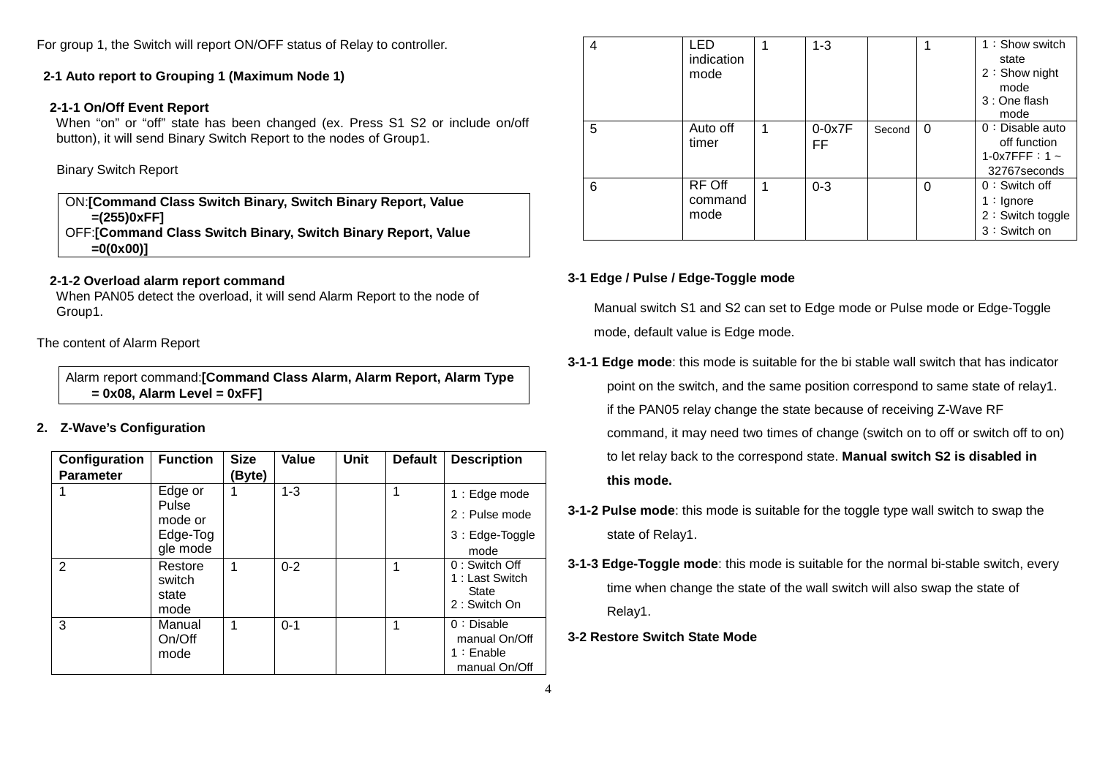For group 1, the Switch will report ON/OFF status of Relay to controller.

#### **2-1 Auto report to Grouping 1 (Maximum Node 1)**

#### **2-1-1 On/Off Event Report**

 When "on" or "off" state has been changed (ex. Press S1 S2 or include on/off button), it will send Binary Switch Report to the nodes of Group1.

Binary Switch Report

ON:**[Command Class Switch Binary, Switch Binary Report, Value =(255)0xFF]** OFF:**[Command Class Switch Binary, Switch Binary Report, Value =0(0x00)]**

#### **2-1-2 Overload alarm report command**

 When PAN05 detect the overload, it will send Alarm Report to the node of Group1.

The content of Alarm Report

Alarm report command:**[Command Class Alarm, Alarm Report, Alarm Type = 0x08, Alarm Level = 0xFF]**

### **2. Z-Wave's Configuration**

| Configuration<br><b>Parameter</b> | <b>Function</b>                                     | <b>Size</b><br>(Byte) | Value   | Unit | <b>Default</b> | <b>Description</b>                                              |
|-----------------------------------|-----------------------------------------------------|-----------------------|---------|------|----------------|-----------------------------------------------------------------|
|                                   | Edge or<br>Pulse<br>mode or<br>Edge-Tog<br>gle mode | 1                     | $1 - 3$ |      | 1              | 1 : Edge mode<br>2 : Pulse mode<br>3 : Edge-Toggle<br>mode      |
| $\overline{2}$                    | Restore<br>switch<br>state<br>mode                  | 1                     | $0 - 2$ |      | 1              | 0: Switch Off<br>1: Last Switch<br><b>State</b><br>2: Switch On |
| 3                                 | Manual<br>On/Off<br>mode                            | 1                     | $0 - 1$ |      | 1              | $0:$ Disable<br>manual On/Off<br>$1:$ Enable<br>manual On/Off   |

| 4 | LED<br>indication<br>mode |   | $1 - 3$         |        |          | 1: Show switch<br>state<br>2: Show night<br>mode<br>3 : One flash             |
|---|---------------------------|---|-----------------|--------|----------|-------------------------------------------------------------------------------|
| 5 | Auto off<br>timer         | 1 | $0-0x7F$<br>FF. | Second | $\Omega$ | mode<br>$0:$ Disable auto<br>off function<br>1-0x7FFF: $1 -$<br>32767 seconds |
| 6 | RF Off<br>command<br>mode | 1 | $0 - 3$         |        | $\Omega$ | $0:$ Switch off<br>$1:$ Ignore<br>2: Switch toggle<br>3: Switch on            |

#### **3-1 Edge / Pulse / Edge-Toggle mode**

Manual switch S1 and S2 can set to Edge mode or Pulse mode or Edge-Toggle mode, default value is Edge mode.

- **3-1-1 Edge mode**: this mode is suitable for the bi stable wall switch that has indicator point on the switch, and the same position correspond to same state of relay1. if the PAN05 relay change the state because of receiving Z-Wave RF command, it may need two times of change (switch on to off or switch off to on) to let relay back to the correspond state. **Manual switch S2 is disabled in this mode.**
- **3-1-2 Pulse mode**: this mode is suitable for the toggle type wall switch to swap the state of Relay1.
- **3-1-3 Edge-Toggle mode**: this mode is suitable for the normal bi-stable switch, every time when change the state of the wall switch will also swap the state of Relay1.

#### **3-2 Restore Switch State Mode**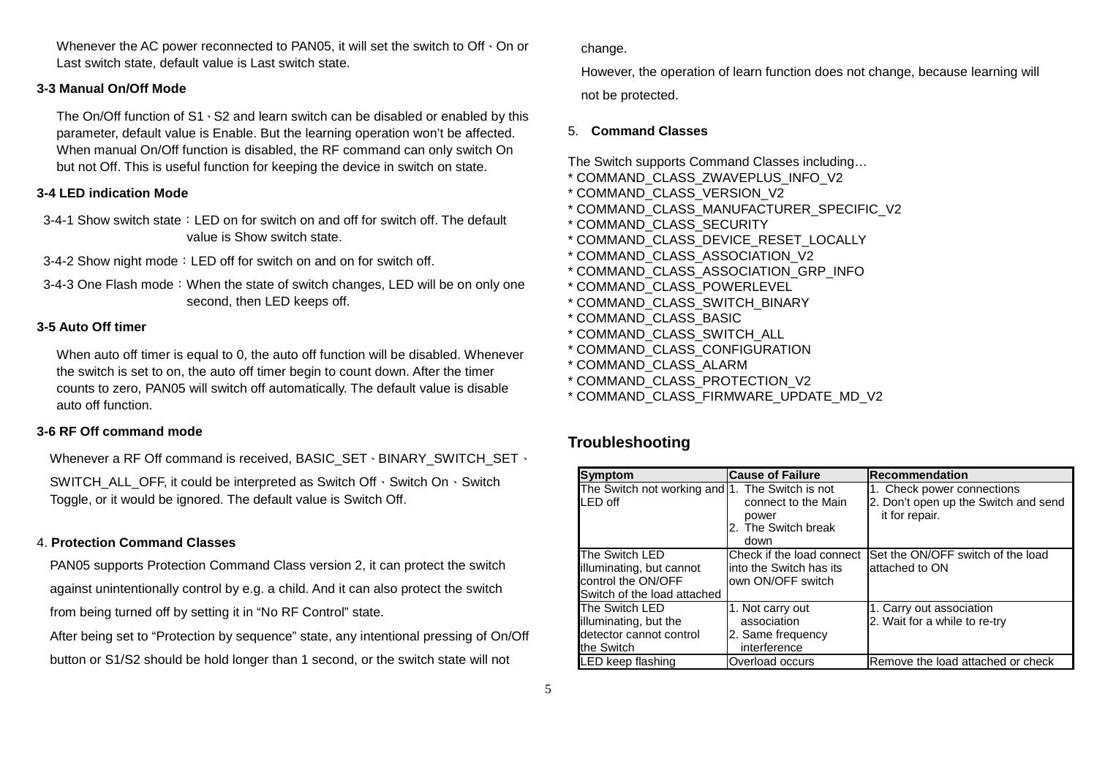Whenever the AC power reconnected to PAN05, it will set the switch to Off  $\cdot$  On or Last switch state, default value is Last switch state.

#### **3-3 Manual On/Off Mode**

The On/Off function of S1、S2 and learn switch can be disabled or enabled by this parameter, default value is Enable. But the learning operation won't be affected. When manual On/Off function is disabled, the RF command can only switch On but not Off. This is useful function for keeping the device in switch on state.

#### **3-4 LED indication Mode**

3-4-1 Show switch state: LED on for switch on and off for switch off. The default value is Show switch state.

- 3-4-2 Show night mode: LED off for switch on and on for switch off.
- 3-4-3 One Flash mode: When the state of switch changes, LED will be on only one second, then LED keeps off.

#### **3-5 Auto Off timer**

When auto off timer is equal to 0, the auto off function will be disabled. Whenever the switch is set to on, the auto off timer begin to count down. After the timer counts to zero, PAN05 will switch off automatically. The default value is disable auto off function.

#### **3-6 RF Off command mode**

Whenever a RF Off command is received, BASIC\_SET、BINARY\_SWITCH\_SET、

SWITCH\_ALL\_OFF, it could be interpreted as Switch Off 、Switch On、Switch Toggle, or it would be ignored. The default value is Switch Off.

#### 4. **Protection Command Classes**

PAN05 supports Protection Command Class version 2, it can protect the switch against unintentionally control by e.g. a child. And it can also protect the switch from being turned off by setting it in "No RF Control" state.

After being set to "Protection by sequence" state, any intentional pressing of On/Off button or S1/S2 should be hold longer than 1 second, or the switch state will not

change.

However, the operation of learn function does not change, because learning will

not be protected.

#### 5. **Command Classes**

The Switch supports Command Classes including…

- \* COMMAND\_CLASS\_ZWAVEPLUS\_INFO\_V2
- \* COMMAND\_CLASS\_VERSION\_V2
- \* COMMAND\_CLASS\_MANUFACTURER\_SPECIFIC\_V2
- \* COMMAND\_CLASS\_SECURITY
- \* COMMAND\_CLASS\_DEVICE\_RESET\_LOCALLY
- \* COMMAND\_CLASS\_ASSOCIATION\_V2
- \* COMMAND\_CLASS\_ASSOCIATION\_GRP\_INFO
- \* COMMAND\_CLASS\_POWERLEVEL
- \* COMMAND\_CLASS\_SWITCH\_BINARY
- \* COMMAND\_CLASS\_BASIC
- \* COMMAND\_CLASS\_SWITCH\_ALL
- \* COMMAND\_CLASS\_CONFIGURATION
- \* COMMAND\_CLASS\_ALARM
- \* COMMAND\_CLASS\_PROTECTION\_V2
- \* COMMAND\_CLASS\_FIRMWARE\_UPDATE\_MD\_V2

## **Troubleshooting**

| <b>Symptom</b>                                                                                  | <b>Cause of Failure</b>                                                     | <b>Recommendation</b>                                                                |
|-------------------------------------------------------------------------------------------------|-----------------------------------------------------------------------------|--------------------------------------------------------------------------------------|
| The Switch not working and 1. The Switch is not<br>LED off                                      | connect to the Main<br>power<br>2. The Switch break<br>down                 | 1. Check power connections<br>2. Don't open up the Switch and send<br>it for repair. |
| The Switch LED<br>illuminating, but cannot<br>control the ON/OFF<br>Switch of the load attached | Check if the load connect<br>linto the Switch has its<br>lown ON/OFF switch | Set the ON/OFF switch of the load<br>lattached to ON                                 |
| The Switch LED<br>illuminating, but the<br>detector cannot control<br>the Switch                | 1. Not carry out<br>association<br>2. Same frequency<br>interference        | 1. Carry out association<br>2. Wait for a while to re-try                            |
| LED keep flashing                                                                               | Overload occurs                                                             | Remove the load attached or check                                                    |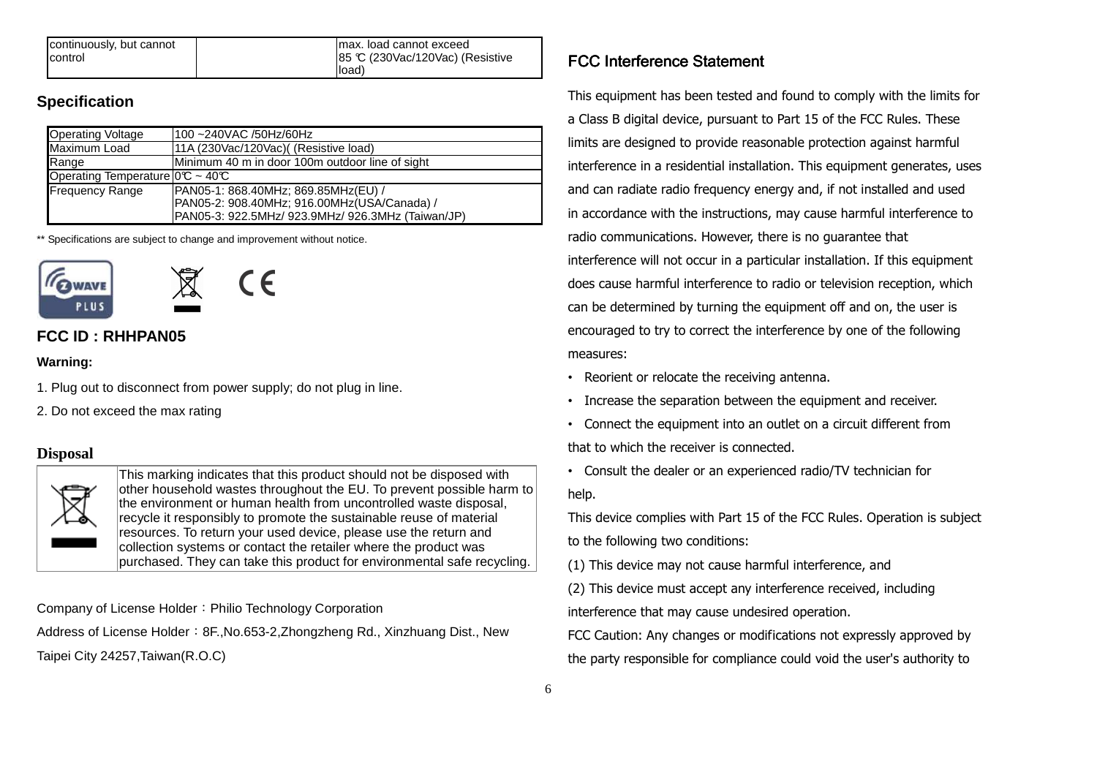| continuously, but cannot | Imax. load cannot exceed          |
|--------------------------|-----------------------------------|
| control                  | 185 °C (230Vac/120Vac) (Resistive |
|                          | lload)                            |

## **Specification**

| <b>Operating Voltage</b>                      | 100 ~240VAC /50Hz/60Hz                            |
|-----------------------------------------------|---------------------------------------------------|
| Maximum Load                                  | 11A (230Vac/120Vac) (Resistive load)              |
| Range                                         | Minimum 40 m in door 100m outdoor line of sight   |
| Operating Temperature $0^\circ \sim 40^\circ$ |                                                   |
| <b>Frequency Range</b>                        | PAN05-1: 868.40MHz; 869.85MHz(EU) /               |
|                                               | PAN05-2: 908.40MHz; 916.00MHz(USA/Canada) /       |
|                                               | PAN05-3: 922.5MHz/ 923.9MHz/ 926.3MHz (Taiwan/JP) |

\*\* Specifications are subject to change and improvement without notice.



# **FCC ID : RHHPAN05**

### **Warning:**

- 1. Plug out to disconnect from power supply; do not plug in line.
- 2. Do not exceed the max rating

## **Disposal**



This marking indicates that this product should not be disposed with other household wastes throughout the EU. To prevent possible harm to the environment or human health from uncontrolled waste disposal, recycle it responsibly to promote the sustainable reuse of material resources. To return your used device, please use the return and collection systems or contact the retailer where the product was purchased. They can take this product for environmental safe recycling.

Company of License Holder: Philio Technology Corporation

Address of License Holder: 8F., No.653-2, Zhongzheng Rd., Xinzhuang Dist., New Taipei City 24257,Taiwan(R.O.C)

# FCC Interference Statement

This equipment has been tested and found to comply with the limits for a Class B digital device, pursuant to Part 15 of the FCC Rules. These limits are designed to provide reasonable protection against harmful interference in a residential installation. This equipment generates, uses and can radiate radio frequency energy and, if not installed and used in accordance with the instructions, may cause harmful interference to radio communications. However, there is no guarantee that interference will not occur in a particular installation. If this equipment does cause harmful interference to radio or television reception, which can be determined by turning the equipment off and on, the user is encouraged to try to correct the interference by one of the following measures:

- Reorient or relocate the receiving antenna.
- Increase the separation between the equipment and receiver.
- Connect the equipment into an outlet on a circuit different from that to which the receiver is connected.
- Consult the dealer or an experienced radio/TV technician for help.

This device complies with Part 15 of the FCC Rules. Operation is subject to the following two conditions:

(1) This device may not cause harmful interference, and

(2) This device must accept any interference received, including interference that may cause undesired operation.

FCC Caution: Any changes or modifications not expressly approved by the party responsible for compliance could void the user's authority to